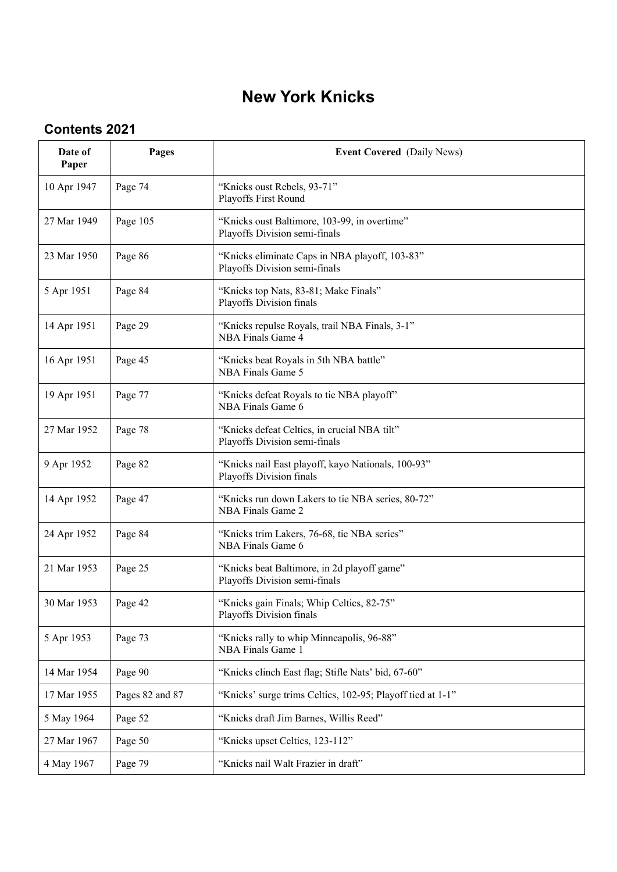## **New York Knicks**

## **Contents 2021**

| Date of<br>Paper | Pages           | <b>Event Covered</b> (Daily News)                                               |
|------------------|-----------------|---------------------------------------------------------------------------------|
| 10 Apr 1947      | Page 74         | "Knicks oust Rebels, 93-71"<br>Playoffs First Round                             |
| 27 Mar 1949      | Page 105        | "Knicks oust Baltimore, 103-99, in overtime"<br>Playoffs Division semi-finals   |
| 23 Mar 1950      | Page 86         | "Knicks eliminate Caps in NBA playoff, 103-83"<br>Playoffs Division semi-finals |
| 5 Apr 1951       | Page 84         | "Knicks top Nats, 83-81; Make Finals"<br>Playoffs Division finals               |
| 14 Apr 1951      | Page 29         | "Knicks repulse Royals, trail NBA Finals, 3-1"<br>NBA Finals Game 4             |
| 16 Apr 1951      | Page 45         | "Knicks beat Royals in 5th NBA battle"<br>NBA Finals Game 5                     |
| 19 Apr 1951      | Page 77         | "Knicks defeat Royals to tie NBA playoff"<br>NBA Finals Game 6                  |
| 27 Mar 1952      | Page 78         | "Knicks defeat Celtics, in crucial NBA tilt"<br>Playoffs Division semi-finals   |
| 9 Apr 1952       | Page 82         | "Knicks nail East playoff, kayo Nationals, 100-93"<br>Playoffs Division finals  |
| 14 Apr 1952      | Page 47         | "Knicks run down Lakers to tie NBA series, 80-72"<br>NBA Finals Game 2          |
| 24 Apr 1952      | Page 84         | "Knicks trim Lakers, 76-68, tie NBA series"<br>NBA Finals Game 6                |
| 21 Mar 1953      | Page 25         | "Knicks beat Baltimore, in 2d playoff game"<br>Playoffs Division semi-finals    |
| 30 Mar 1953      | Page 42         | "Knicks gain Finals; Whip Celtics, 82-75"<br>Playoffs Division finals           |
| 5 Apr 1953       | Page 73         | "Knicks rally to whip Minneapolis, 96-88"<br>NBA Finals Game 1                  |
| 14 Mar 1954      | Page 90         | "Knicks clinch East flag; Stifle Nats' bid, 67-60"                              |
| 17 Mar 1955      | Pages 82 and 87 | "Knicks' surge trims Celtics, 102-95; Playoff tied at 1-1"                      |
| 5 May 1964       | Page 52         | "Knicks draft Jim Barnes, Willis Reed"                                          |
| 27 Mar 1967      | Page 50         | "Knicks upset Celtics, 123-112"                                                 |
| 4 May 1967       | Page 79         | "Knicks nail Walt Frazier in draft"                                             |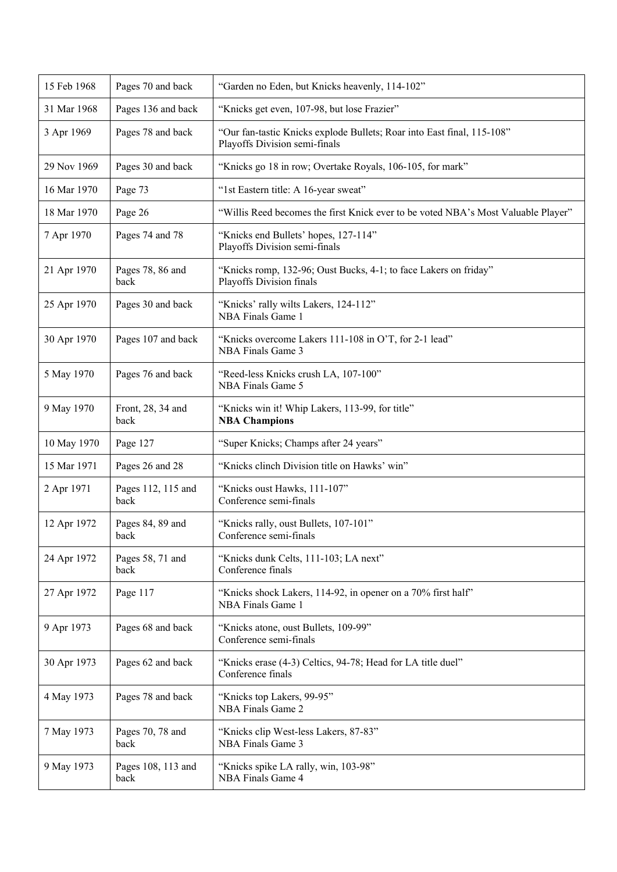| 15 Feb 1968 | Pages 70 and back          | "Garden no Eden, but Knicks heavenly, 114-102"                                                          |
|-------------|----------------------------|---------------------------------------------------------------------------------------------------------|
| 31 Mar 1968 | Pages 136 and back         | "Knicks get even, 107-98, but lose Frazier"                                                             |
| 3 Apr 1969  | Pages 78 and back          | "Our fan-tastic Knicks explode Bullets; Roar into East final, 115-108"<br>Playoffs Division semi-finals |
| 29 Nov 1969 | Pages 30 and back          | "Knicks go 18 in row; Overtake Royals, 106-105, for mark"                                               |
| 16 Mar 1970 | Page 73                    | "1st Eastern title: A 16-year sweat"                                                                    |
| 18 Mar 1970 | Page 26                    | "Willis Reed becomes the first Knick ever to be voted NBA's Most Valuable Player"                       |
| 7 Apr 1970  | Pages 74 and 78            | "Knicks end Bullets' hopes, 127-114"<br>Playoffs Division semi-finals                                   |
| 21 Apr 1970 | Pages 78, 86 and<br>back   | "Knicks romp, 132-96; Oust Bucks, 4-1; to face Lakers on friday"<br>Playoffs Division finals            |
| 25 Apr 1970 | Pages 30 and back          | "Knicks' rally wilts Lakers, 124-112"<br>NBA Finals Game 1                                              |
| 30 Apr 1970 | Pages 107 and back         | "Knicks overcome Lakers 111-108 in O'T, for 2-1 lead"<br>NBA Finals Game 3                              |
| 5 May 1970  | Pages 76 and back          | "Reed-less Knicks crush LA, 107-100"<br>NBA Finals Game 5                                               |
| 9 May 1970  | Front, 28, 34 and<br>back  | "Knicks win it! Whip Lakers, 113-99, for title"<br><b>NBA Champions</b>                                 |
| 10 May 1970 | Page 127                   | "Super Knicks; Champs after 24 years"                                                                   |
| 15 Mar 1971 | Pages 26 and 28            | "Knicks clinch Division title on Hawks' win"                                                            |
| 2 Apr 1971  | Pages 112, 115 and<br>back | "Knicks oust Hawks, 111-107"<br>Conference semi-finals                                                  |
| 12 Apr 1972 | Pages 84, 89 and<br>back   | "Knicks rally, oust Bullets, 107-101"<br>Conference semi-finals                                         |
| 24 Apr 1972 | Pages 58, 71 and<br>back   | "Knicks dunk Celts, 111-103; LA next"<br>Conference finals                                              |
| 27 Apr 1972 | Page 117                   | "Knicks shock Lakers, 114-92, in opener on a 70% first half"<br>NBA Finals Game 1                       |
| 9 Apr 1973  | Pages 68 and back          | "Knicks atone, oust Bullets, 109-99"<br>Conference semi-finals                                          |
| 30 Apr 1973 | Pages 62 and back          | "Knicks erase (4-3) Celtics, 94-78; Head for LA title duel"<br>Conference finals                        |
| 4 May 1973  | Pages 78 and back          | "Knicks top Lakers, 99-95"<br>NBA Finals Game 2                                                         |
| 7 May 1973  | Pages 70, 78 and<br>back   | "Knicks clip West-less Lakers, 87-83"<br>NBA Finals Game 3                                              |
| 9 May 1973  | Pages 108, 113 and<br>back | "Knicks spike LA rally, win, 103-98"<br>NBA Finals Game 4                                               |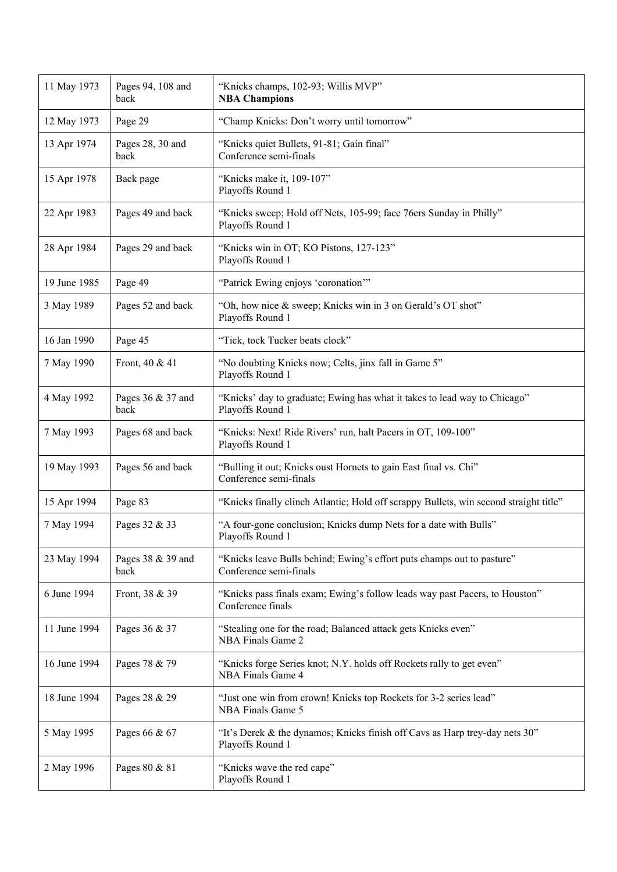| 11 May 1973  | Pages 94, 108 and<br>back | "Knicks champs, 102-93; Willis MVP"<br><b>NBA Champions</b>                                      |
|--------------|---------------------------|--------------------------------------------------------------------------------------------------|
| 12 May 1973  | Page 29                   | "Champ Knicks: Don't worry until tomorrow"                                                       |
| 13 Apr 1974  | Pages 28, 30 and<br>back  | "Knicks quiet Bullets, 91-81; Gain final"<br>Conference semi-finals                              |
| 15 Apr 1978  | Back page                 | "Knicks make it, 109-107"<br>Playoffs Round 1                                                    |
| 22 Apr 1983  | Pages 49 and back         | "Knicks sweep; Hold off Nets, 105-99; face 76ers Sunday in Philly"<br>Playoffs Round 1           |
| 28 Apr 1984  | Pages 29 and back         | "Knicks win in OT; KO Pistons, 127-123"<br>Playoffs Round 1                                      |
| 19 June 1985 | Page 49                   | "Patrick Ewing enjoys 'coronation"                                                               |
| 3 May 1989   | Pages 52 and back         | "Oh, how nice & sweep; Knicks win in 3 on Gerald's OT shot"<br>Playoffs Round 1                  |
| 16 Jan 1990  | Page 45                   | "Tick, tock Tucker beats clock"                                                                  |
| 7 May 1990   | Front, 40 & 41            | "No doubting Knicks now; Celts, jinx fall in Game 5"<br>Playoffs Round 1                         |
| 4 May 1992   | Pages 36 & 37 and<br>back | "Knicks' day to graduate; Ewing has what it takes to lead way to Chicago"<br>Playoffs Round 1    |
| 7 May 1993   | Pages 68 and back         | "Knicks: Next! Ride Rivers' run, halt Pacers in OT, 109-100"<br>Playoffs Round 1                 |
| 19 May 1993  | Pages 56 and back         | "Bulling it out; Knicks oust Hornets to gain East final vs. Chi"<br>Conference semi-finals       |
| 15 Apr 1994  | Page 83                   | "Knicks finally clinch Atlantic; Hold off scrappy Bullets, win second straight title"            |
| 7 May 1994   | Pages 32 & 33             | "A four-gone conclusion; Knicks dump Nets for a date with Bulls"<br>Playoffs Round 1             |
| 23 May 1994  | Pages 38 & 39 and<br>back | "Knicks leave Bulls behind; Ewing's effort puts champs out to pasture"<br>Conference semi-finals |
| 6 June 1994  | Front, 38 & 39            | "Knicks pass finals exam; Ewing's follow leads way past Pacers, to Houston"<br>Conference finals |
| 11 June 1994 | Pages 36 & 37             | "Stealing one for the road; Balanced attack gets Knicks even"<br><b>NBA Finals Game 2</b>        |
| 16 June 1994 | Pages 78 & 79             | "Knicks forge Series knot; N.Y. holds off Rockets rally to get even"<br>NBA Finals Game 4        |
| 18 June 1994 | Pages 28 & 29             | "Just one win from crown! Knicks top Rockets for 3-2 series lead"<br>NBA Finals Game 5           |
| 5 May 1995   | Pages 66 & 67             | "It's Derek & the dynamos; Knicks finish off Cavs as Harp trey-day nets 30"<br>Playoffs Round 1  |
| 2 May 1996   | Pages 80 & 81             | "Knicks wave the red cape"<br>Playoffs Round 1                                                   |